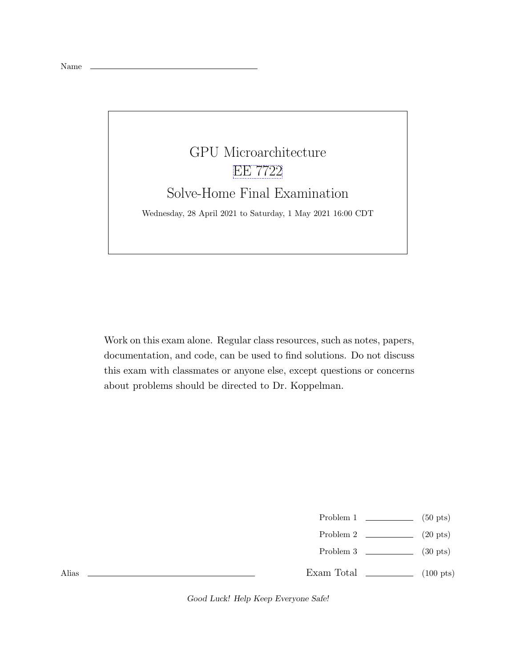## GPU Microarchitecture [EE 7722](https://www.ece.lsu.edu/gp/) Solve-Home Final Examination Wednesday, 28 April 2021 to Saturday, 1 May 2021 16:00 CDT

Work on this exam alone. Regular class resources, such as notes, papers, documentation, and code, can be used to find solutions. Do not discuss this exam with classmates or anyone else, except questions or concerns about problems should be directed to Dr. Koppelman.

- Problem  $1 \quad \underline{\hspace{1cm}}$  (50 pts)
- Problem 2  $\qquad \qquad$  (20 pts)
- Problem 3 (30 pts)
- Exam Total (100 pts)

Alias

Good Luck! Help Keep Everyone Safe!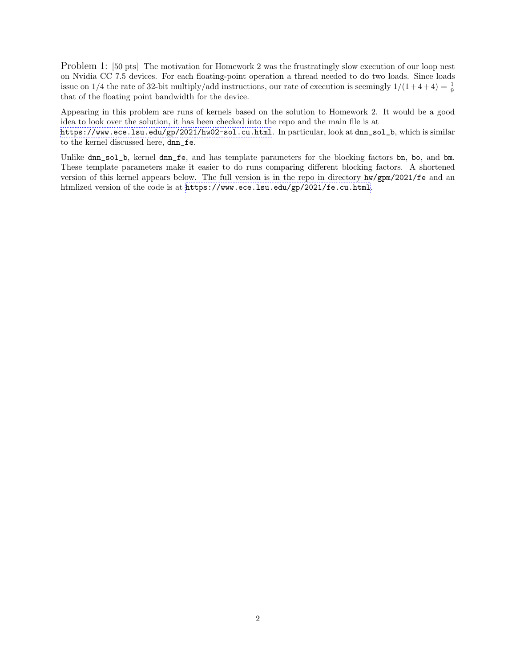Problem 1: [50 pts] The motivation for Homework 2 was the frustratingly slow execution of our loop nest on Nvidia CC 7.5 devices. For each floating-point operation a thread needed to do two loads. Since loads issue on 1/4 the rate of 32-bit multiply/add instructions, our rate of execution is seemingly  $1/(1+4+4) = \frac{1}{9}$ that of the floating point bandwidth for the device.

Appearing in this problem are runs of kernels based on the solution to Homework 2. It would be a good idea to look over the solution, it has been checked into the repo and the main file is at

<https://www.ece.lsu.edu/gp/2021/hw02-sol.cu.html>. In particular, look at dnn\_sol\_b, which is similar to the kernel discussed here, dnn\_fe.

Unlike dnn\_sol\_b, kernel dnn\_fe, and has template parameters for the blocking factors bn, bo, and bm. These template parameters make it easier to do runs comparing different blocking factors. A shortened version of this kernel appears below. The full version is in the repo in directory hw/gpm/2021/fe and an htmlized version of the code is at <https://www.ece.lsu.edu/gp/2021/fe.cu.html>.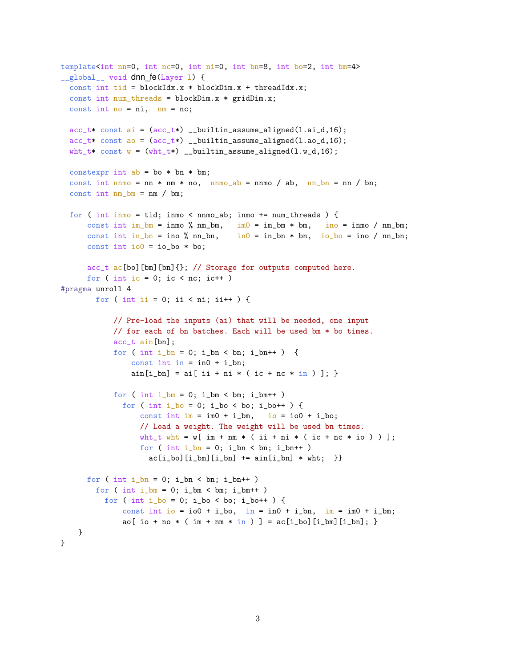```
template<int nn=0, int nc=0, int ni=0, int bn=8, int bo=2, int bm=4>
__global__ void dnn_fe(Layer 1) {
  const int tid = blockIdx.x * blockDim.x + threadIdx.x;
  const int num_threads = blockDim.x * gridDim.x;
  const int no = ni, nm = nc;
 acc_t* const ai = (ac_t*) __builtin_assume_aligned(1.ai_d,16);
 acc_t* const ao = (ac_t*) __builtin_assume_aligned(1.ao_d,16);
  wht_t* const w = (wht_t*) __builtin_assume_aligned(1.w_d,16);
 constexpr int ab = bo * bn * bm;const int nnmo = nn * nm * no, nnmo_ab = nnmo / ab, nn_bn = nn / bn;
  const int nm_b = nm / bm;
 for (int inmo = tid; inmo < nnmo_ab; inmo += num_threads ) {
      const int im_bm = inmo % nm_bm, \text{im}0 = \text{im\_bm} * \text{bm}, \text{in}0 = \text{im\_bm} / nm_bm;
      const int in_bn = ino % nn_bn, in0 = in_bn * bn, io_bo = ino / nn_bn;
      const int io0 = io_{o} * bo;
      acc_t ac [bo] [bm] [bn] \{\}; // Storage for outputs computed here.
      for ( int ic = 0; ic < nc; ic ++ )
#pragma unroll 4
       for ( int ii = 0; ii < ni; ii++ ) {
            // Pre-load the inputs (ai) that will be needed, one input
            // for each of bn batches. Each will be used bm * bo times.
            acc_t ain[bn];
            for ( int i_b = 0; i_b = 0, i_b = 1) {
                const int in = in0 + i_b.
                ain[i_bn] = ai[i + ni * (ic + nc * in)]; }
            for ( int i_bm = 0; i_bm < bm; i_bm++ )
              for ( int i_bo = 0; i_bo < bo; i_bo++ ) {
                  const int im = im0 + i_b io = io0 + i_b;
                  // Load a weight. The weight will be used bn times.
                  wht_t wht = w[ im + nm * ( ii + ni * ( ic + nc * io ) ) ];
                  for ( int i_bn = 0; i_bn < bn; i_bn++ )
                    ac[i_bo][i_bm][i_bn] += ain[i_bn] * wht; }
      for ( int i_b = 0; i_b = \nvert b_n \rangle i_bn + + )
        for ( int i_bm = 0; i_bm < bm; i_bm++ )
          for ( int i_bo = 0; i_bo < bo; i_bo++ ) {
              const int io = io0 + i_bo, in = in0 + i_bn, im = im0 + i_bm;
              ao[io + no * (im + nm * in)] = ac[i_bo][i_bm][i_bn];}
\mathcal{L}
```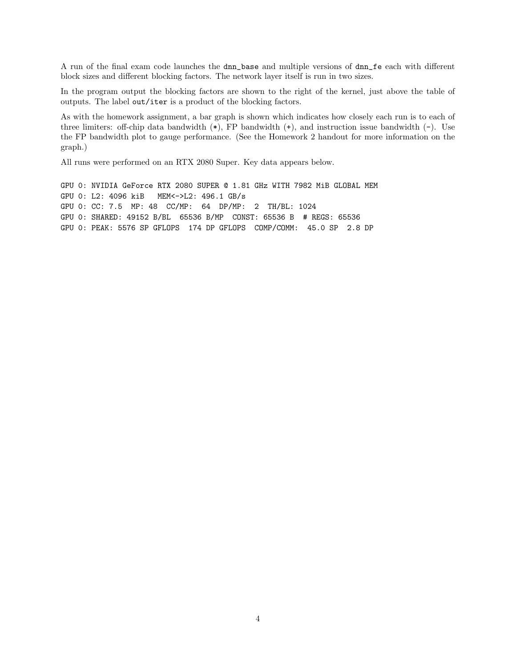A run of the final exam code launches the dnn\_base and multiple versions of dnn\_fe each with different block sizes and different blocking factors. The network layer itself is run in two sizes.

In the program output the blocking factors are shown to the right of the kernel, just above the table of outputs. The label out/iter is a product of the blocking factors.

As with the homework assignment, a bar graph is shown which indicates how closely each run is to each of three limiters: off-chip data bandwidth  $(*)$ , FP bandwidth  $(+)$ , and instruction issue bandwidth  $(-)$ . Use the FP bandwidth plot to gauge performance. (See the Homework 2 handout for more information on the graph.)

All runs were performed on an RTX 2080 Super. Key data appears below.

GPU 0: NVIDIA GeForce RTX 2080 SUPER @ 1.81 GHz WITH 7982 MiB GLOBAL MEM GPU 0: L2: 4096 kiB MEM<->L2: 496.1 GB/s GPU 0: CC: 7.5 MP: 48 CC/MP: 64 DP/MP: 2 TH/BL: 1024 GPU 0: SHARED: 49152 B/BL 65536 B/MP CONST: 65536 B # REGS: 65536 GPU 0: PEAK: 5576 SP GFLOPS 174 DP GFLOPS COMP/COMM: 45.0 SP 2.8 DP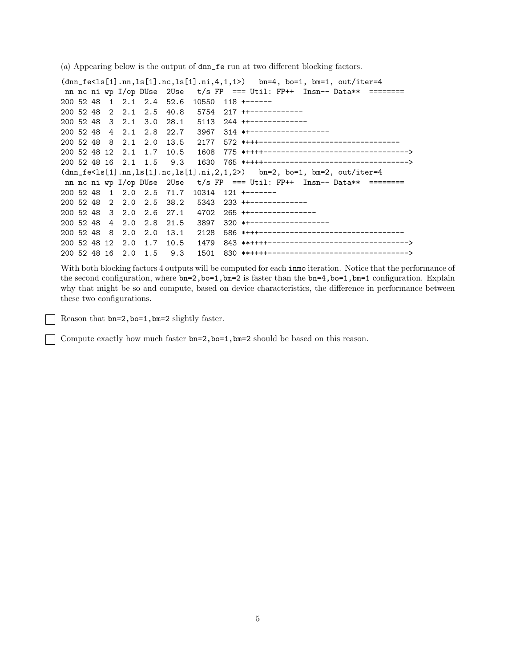(a) Appearing below is the output of dnn\_fe run at two different blocking factors.

 $(dnn_f e < 1s[1].nn, ls[1].nc, ls[1].ni,4,1,1)$  bn=4, bo=1, bm=1, out/iter=4 nn nc ni wp I/op DUse 2Use t/s FP === Util: FP++ Insn-- Data\*\* ========= 200 52 48 1 2.1 2.4 52.6 10550 118 +------ 200 52 48 2 2.1 2.5 40.8 5754 217 ++------------ 200 52 48 3 2.1 3.0 28.1 5113 244 ++------------- 200 52 48 4 2.1 2.8 22.7 3967 314 \*+------------------ 200 52 48 8 2.1 2.0 13.5 2177 572 \*+++-------------------------------- 200 52 48 12 2.1 1.7 10.5 1608 775 \*++++---------------------------------> 200 52 48 16 2.1 1.5 9.3 1630 765 \*++++--------------------------------->  $(dnn_f e < 1s[1].nn, ls[1].nc, ls[1].ni,2,1,2)$  bn=2, bo=1, bm=2, out/iter=4 nn nc ni wp I/op DUse  $2$ Use  $t/s$  FP === Util: FP++ Insn-- Data\*\* ======== 200 52 48 1 2.0 2.5 71.7 10314 121 +------- 200 52 48 2 2.0 2.5 38.2 5343 233 ++------------- 200 52 48 3 2.0 2.6 27.1 4702 265 ++--------------- 200 52 48 4 2.0 2.8 21.5 3897 320 \*+------------------ 200 52 48 8 2.0 2.0 13.1 2128 586 \*+++--------------------------------- 200 52 48 12 2.0 1.7 10.5 1479 843 \*\*++++--------------------------------> 200 52 48 16 2.0 1.5 9.3 1501 830 \*\*++++-------------------------------->

With both blocking factors 4 outputs will be computed for each inmo iteration. Notice that the performance of the second configuration, where bn=2,bo=1,bm=2 is faster than the bn=4,bo=1,bm=1 configuration. Explain why that might be so and compute, based on device characteristics, the difference in performance between these two configurations.

Reason that bn=2,bo=1,bm=2 slightly faster.

Compute exactly how much faster bn=2,bo=1,bm=2 should be based on this reason.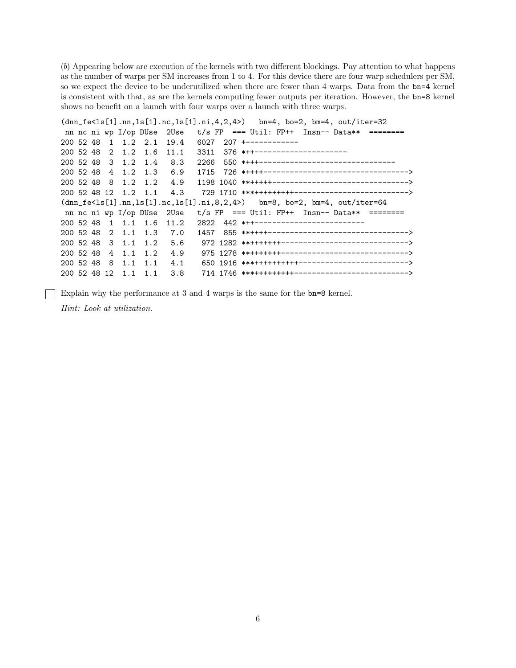$(b)$  Appearing below are execution of the kernels with two different blockings. Pay attention to what happens as the number of warps per SM increases from 1 to 4. For this device there are four warp schedulers per SM, so we expect the device to be underutilized when there are fewer than 4 warps. Data from the bn=4 kernel is consistent with that, as are the kernels computing fewer outputs per iteration. However, the bn=8 kernel shows no benefit on a launch with four warps over a launch with three warps.

```
(dnn_f e<ls[1].nn, ls[1].nc, ls[1].ni, 4, 2, 4)bn=4, bo=2, bm=4, out/iter=32t/s FP === Util: FP++ Insn-- Data**
nn nc ni wp I/op DUse
               2Use
                                              = ========
200 52 48
       \mathbf{1}1.22.119.4
                    6027
                        207 +------------
200 52 48
       2
                    3311
                        376 ***---------------------
        1.2
            1.6
                11.1550 *+++--------------------------------
200 52 48
       3
         1.21.48.3
                    2266
                        200 52 48
       4
         1.21.3
                6.9
                    1715
                    200 52 48
       8
         1.21.2
                4.9
                     200 52 48 12 1.2 1.1
                4.3
(dnn_f e<ls[1].nn, ls[1].nc, ls[1].ni, 8, 2, 4)bn=8, bo=2, bm=4, out/iter=64t/s FP === Util: FP++ Insn-- Data**
                                              =nn nc ni wp I/op DUse
                20se442 *++-------------------------
200 52 48
       \mathbf{1}1.11.6
                11.2
                    2822
                        200 52 48
       2 \quad 1.11.3
                7.01457
                     200 52 48
       3
         1.11.25.6200 52 48
       4
                4.9
         1.11.2200 52 48
       8
         1.14.11.1200 52 48 12 1.1
            1.13.8
```
Explain why the performance at 3 and 4 warps is the same for the bn=8 kernel.

Hint: Look at utilization.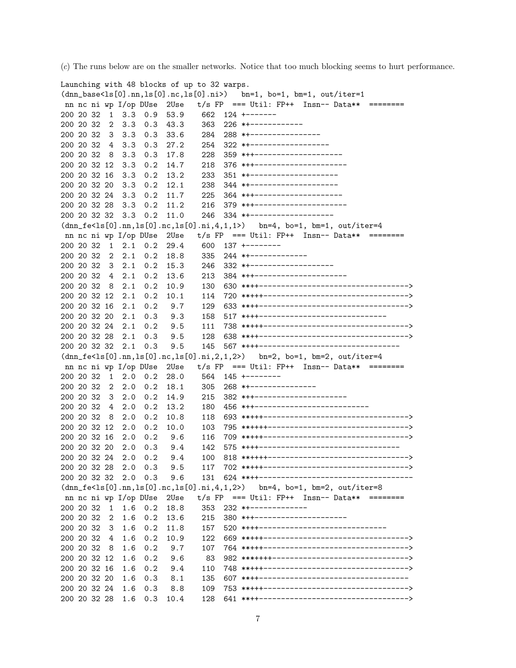(c) The runs below are on the smaller networks. Notice that too much blocking seems to hurt performance.

```
Launching with 48 blocks of up to 32 warps.
(dnn_base<ls[0].nn,ls[0].nc,ls[0].ni>) bn=1, bo=1, bm=1, out/iter=1
nn nc ni wp I/op DUse 2Use t/s FP === Util: FP++ Insn-- Data** ========
200 20 32 1 3.3 0.9 53.9 662 124 +-------
200 20 32 2 3.3 0.3 43.3 363 226 *+------------
200 20 32 3 3.3 0.3 33.6 284 288 *+----------------
200 20 32 4 3.3 0.3 27.2 254 322 *+------------------
200 20 32 8 3.3 0.3 17.8 228 359 *++--------------------
200 20 32 12 3.3 0.2 14.7 218 376 *++---------------------
200 20 32 16 3.3 0.2 13.2 233 351 *+--------------------
200 20 32 20 3.3 0.2 12.1 238 344 *+--------------------
200 20 32 24 3.3 0.2 11.7 225 364 *++--------------------
200 20 32 28 3.3 0.2 11.2 216 379 *++---------------------
200 20 32 32 3.3 0.2 11.0 246 334 *+-------------------
(dnn_f e < 1s[0].nn, ls[0].nc, ls[0].ni,4,1,1) bn=4, bo=1, bm=1, out/iter=4
nn nc ni wp I/op DUse 2Use t/s FP === Util: FP++ Insn-- Data** ========
200 20 32 1 2.1 0.2 29.4
200 20 32 2 2.1 0.2 18.8 335 244 *+-------------
200 20 32 3 2.1 0.2 15.3 246 332 *+-------------------
200 20 32 4 2.1 0.2 13.6 213 384 *++---------------------
200 20 32 8 2.1 0.2 10.9 130 630 **++---------------------------------->
200 20 32 12 2.1 0.2 10.1 114 720 **+++--------------------------------->
200 20 32 16 2.1 0.2 9.7 129 633 **++---------------------------------->
200 20 32 20 2.1 0.3 9.3 158 517 *+++-----------------------------
200 20 32 24 2.1 0.2 9.5 111 738 **+++--------------------------------->
200 20 32 28 2.1 0.3 9.5 128 638 **++---------------------------------->
200 20 32 32 2.1 0.3 9.5 145 567 *+++--------------------------------
(dnn_fe<ls[0].nn,ls[0].nc,ls[0].ni,2,1,2>) bn=2, bo=1, bm=2, out/iter=4
nn nc ni wp I/op DUse 2Use t/s FP === Util: FP++ Insn-- Data** ========
200 20 32 1 2.0 0.2 28.0 564 145 +--------
200 20 32 2 2.0 0.2 18.1 305 268 *+---------------
200 20 32 3 2.0 0.2 14.9 215 382 *++---------------------
200 20 32 4 2.0 0.2 13.2 180 456 *++--------------------------
200 20 32 8 2.0 0.2 10.8 118 693 **+++--------------------------------->
200 20 32 12 2.0 0.2 10.0 103 795 **++++-------------------------------->
200 20 32 16 2.0 0.2 9.6 116 709 **+++--------------------------------->
200 20 32 20 2.0 0.3 9.4 142 575 *+++--------------------------------
200 20 32 24 2.0 0.2 9.4 100 818 **++++-------------------------------->
200 20 32 28 2.0 0.3 9.5 117 702 **+++--------------------------------->
200 20 32 32 2.0 0.3 9.6 131 624 **++-----------------------------------
(dnn_fe<ls[0].nn,ls[0].nc,ls[0].ni,4,1,2>) bn=4, bo=1, bm=2, out/iter=8
nn nc ni wp I/op DUse 2Use t/s FP === Util: FP++ Insn-- Data** ========
200 20 32 1 1.6 0.2 18.8 353 232 *+-------------
200 20 32 2 1.6 0.2 13.6 215 380 *++---------------------
200 20 32 3 1.6 0.2 11.8 157 520 *+++-----------------------------
200 20 32 4 1.6 0.2 10.9 122 669 **+++--------------------------------->
200 20 32 8 1.6 0.2 9.7 107 764 **+++--------------------------------->
200 20 32 12 1.6 0.2 9.6 83 982 ***++++------------------------------->
200 20 32 16 1.6 0.2 9.4 110 748 **+++--------------------------------->
200 20 32 20 1.6 0.3 8.1 135 607 **++----------------------------------
200 20 32 24 1.6 0.3 8.8 109 753 **+++--------------------------------->
200 20 32 28 1.6 0.3 10.4 128 641 **++---------------------------------->
```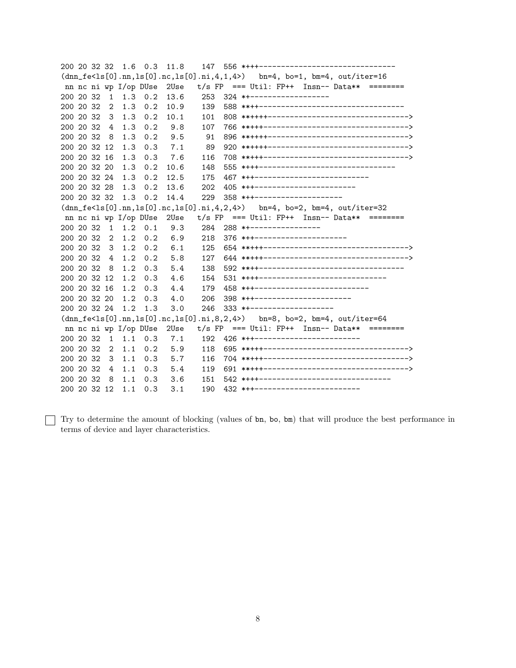200 20 32 32 1.6 0.3 11.8  $(dnn_f e$  $bn=4$ ,  $bo=1$ ,  $bm=4$ ,  $out/iter=16$ nn nc ni wp I/op DUse 2Use  $t/s$  FP === Util: FP++ Insn-- Data\*\* ======== 253 324 \*\*-------------------200 20 32  $1 \quad 1.3 \quad 0.2$ 13.6 200 20 32  $\overline{2}$  $1.3 \t 0.2$ 10.9 139 200 20 32  $3\quad 1.3\quad 0.2$  $10.1$ 101 200 20 32  $\overline{4}$  $1.3 \quad 0.2$ 9.8 107 200 20 32 8 1.3  $0.2$ 9.5 91 200 20 32 12  $1.3$  0.3  $7.1$ 89 200 20 32 16  $1.3 \t 0.3$ 7.6 116 200 20 32 20  $10.6$ 555 \*+++------------------------------- $1.3 \t 0.2$ 148 467 \*\*\*--------------------------200 20 32 24  $1.3$  $0.2$ 12.5 175 200 20 32 28 1.3 0.2 405 \*++-----------------------13.6 202 200 20 32 32 1.3 0.2 14.4 229 358 \*++--------------------- $(\text{dnn}_f e < 1s[0], nn, 1s[0], nc, 1s[0], ni, 4, 2, 4)$  bn=4, bo=2, bm=4, out/iter=32 nn nc ni wp I/op DUse  $2Use$  $t/s$  FP === Util: FP++ Insn-- Data\*\* ======== 200 20 32  $1 \quad 1.2 \quad 0.1$ 9.3 284 288 \*\*----------------200 20 32  $2, 1.2, 0.2$  $6.9$ 218 376 \*\*\*--------------------- $6.1$ 200 20 32  $3 \t1.2 \t0.2$ 125 200 20 32  $\overline{4}$  $1.2$  $0.2$ 5.8 127 200 20 32 8 1.2 0.3 5.4 200 20 32 12 1.2 0.3 531 \*+++-----------------------------4.6 154 458 \*\*\*---------------------------200 20 32 16 1.2  $0.3$ 4.4 179 398 \*\*\*-----------------------200 20 32 20 1.2 0.3  $4.0$ 206 200 20 32 24 1.2 1.3  $3.0$  $(dnn_f e < 1s[0].nn, ls[0].nc, ls[0].ni, 8, 2, 4)$  $bn=8$ ,  $bo=2$ ,  $bm=4$ ,  $out/iter=64$  $t/s$  FP === Util: FP++ Insn-- Data\*\* nn nc ni wp I/op DUse 2Use  $=$  ======== 200 20 32  $1 \quad 1.1 \quad 0.3$ 192 426 \*\*\*------------------------- $7.1$ 200 20 32  $2 \quad 1.1 \quad 0.2$ 5.9 118 200 20 32  $3 \t1.1$  $0.3$  $5.7$ 116 200 20 32 4 1.1  $0.3$ 5.4 119 151 542 \*\*\*\*------------------------------200 20 32 8 1.1 0.3  $3.6$ 190 432 \*\*\*-------------------------200 20 32 12 1.1 0.3  $3.1$ 

Try to determine the amount of blocking (values of bn, bo, bm) that will produce the best performance in terms of device and layer characteristics.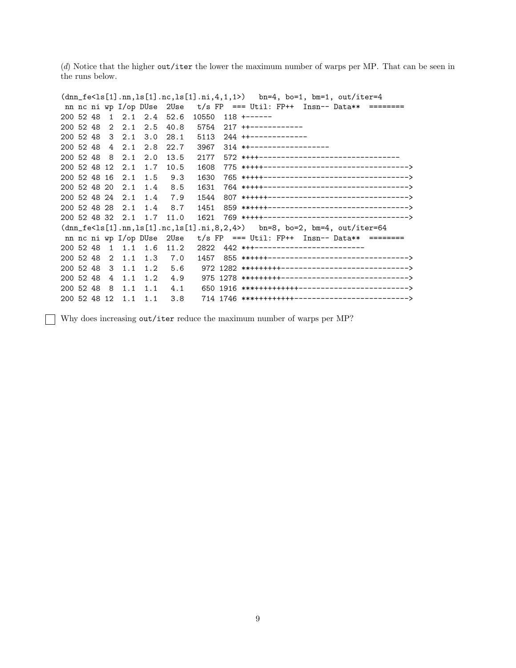(d) Notice that the higher out/iter the lower the maximum number of warps per MP. That can be seen in the runs below.

```
(dnn_fe<ls[1].nn,ls[1].nc,ls[1].ni,4,1,1>) bn=4, bo=1, bm=1, out/iter=4
nn nc ni wp I/op DUse 2Use t/s FP === Util: FP++ Insn-- Data** =========
200 52 48 1 2.1 2.4 52.6 10550 118 +------
200 52 48 2 2.1 2.5 40.8 5754 217 ++------------
200 52 48 3 2.1 3.0 28.1 5113 244 ++-------------
200 52 48 4 2.1 2.8 22.7 3967 314 *+------------------
200 52 48 8 2.1 2.0 13.5 2177 572 *+++--------------------------------
200 52 48 12 2.1 1.7 10.5 1608 775 *++++--------------------------------->
200 52 48 16 2.1 1.5 9.3 1630 765 *++++--------------------------------->
200 52 48 20 2.1 1.4 8.5 1631 764 *++++--------------------------------->
200 52 48 24 2.1 1.4 7.9 1544 807 *+++++-------------------------------->
200 52 48 28 2.1 1.4 8.7 1451 859 **++++-------------------------------->
200 52 48 32 2.1 1.7 11.0 1621 769 *++++--------------------------------->
(dnn_fe<ls[1].nn,ls[1].nc,ls[1].ni,8,2,4>) bn=8, bo=2, bm=4, out/iter=64
nn nc ni wp I/op DUse 2Use t/s FP === Util: FP++ Insn-- Data** ========
200 52 48 1 1.1 1.6 11.2 2822 442 *++-------------------------
200 52 48 2 1.1 1.3 7.0 1457 855 **++++-------------------------------->
200 52 48 3 1.1 1.2 5.6 972 1282 **+++++++----------------------------->
200 52 48 4 1.1 1.2 4.9 975 1278 **+++++++----------------------------->
200 52 48 8 1.1 1.1 4.1 650 1916 ***++++++++++------------------------->
200 52 48 12 1.1 1.1 3.8 714 1746 ***+++++++++-------------------------->
```
Why does increasing out/iter reduce the maximum number of warps per MP?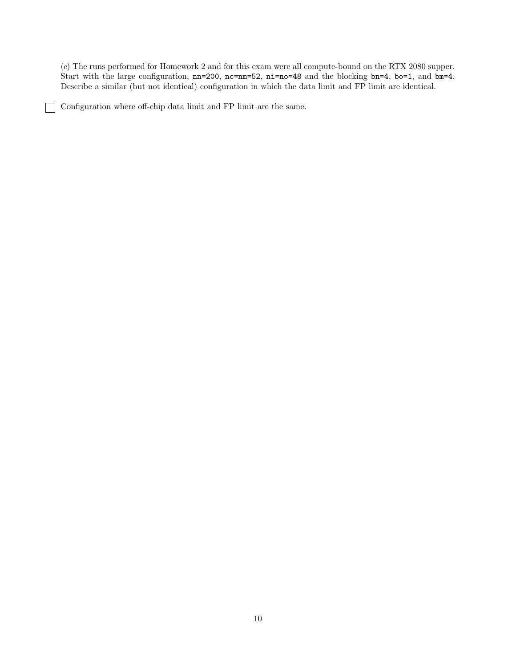(e) The runs performed for Homework 2 and for this exam were all compute-bound on the RTX 2080 supper. Start with the large configuration, nn=200, nc=nm=52, ni=no=48 and the blocking bn=4, bo=1, and bm=4. Describe a similar (but not identical) configuration in which the data limit and FP limit are identical.

Configuration where off-chip data limit and FP limit are the same.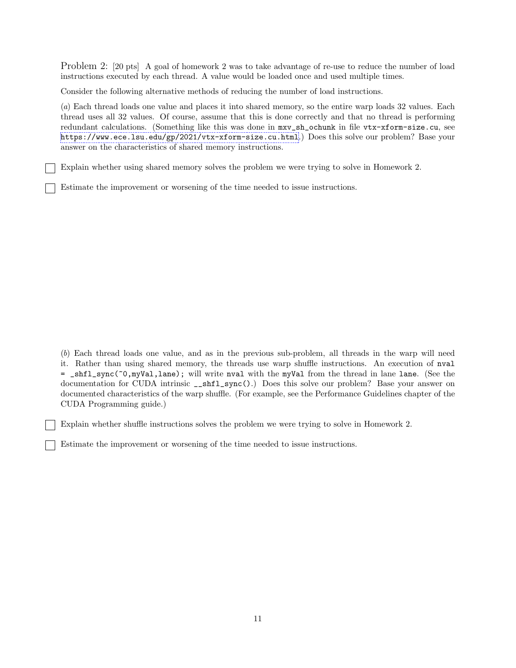Problem 2: [20 pts] A goal of homework 2 was to take advantage of re-use to reduce the number of load instructions executed by each thread. A value would be loaded once and used multiple times.

Consider the following alternative methods of reducing the number of load instructions.

(a) Each thread loads one value and places it into shared memory, so the entire warp loads 32 values. Each thread uses all 32 values. Of course, assume that this is done correctly and that no thread is performing redundant calculations. (Something like this was done in mxv\_sh\_ochunk in file vtx-xform-size.cu, see <https://www.ece.lsu.edu/gp/2021/vtx-xform-size.cu.html>.) Does this solve our problem? Base your answer on the characteristics of shared memory instructions.

Explain whether using shared memory solves the problem we were trying to solve in Homework 2.

Estimate the improvement or worsening of the time needed to issue instructions.

(b) Each thread loads one value, and as in the previous sub-problem, all threads in the warp will need it. Rather than using shared memory, the threads use warp shuffle instructions. An execution of nval = \_shfl\_sync(~0,myVal,lane); will write nval with the myVal from the thread in lane lane. (See the documentation for CUDA intrinsic \_\_shfl\_sync().) Does this solve our problem? Base your answer on documented characteristics of the warp shuffle. (For example, see the Performance Guidelines chapter of the CUDA Programming guide.)

Explain whether shuffle instructions solves the problem we were trying to solve in Homework 2.

Estimate the improvement or worsening of the time needed to issue instructions.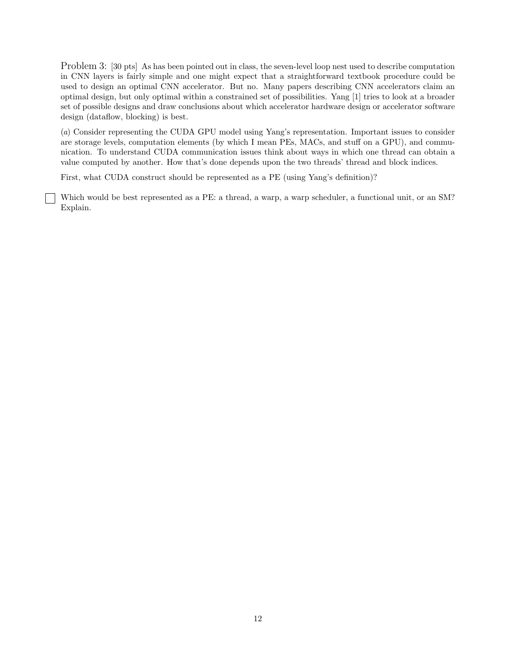Problem 3: [30 pts] As has been pointed out in class, the seven-level loop nest used to describe computation in CNN layers is fairly simple and one might expect that a straightforward textbook procedure could be used to design an optimal CNN accelerator. But no. Many papers describing CNN accelerators claim an optimal design, but only optimal within a constrained set of possibilities. Yang [1] tries to look at a broader set of possible designs and draw conclusions about which accelerator hardware design or accelerator software design (dataflow, blocking) is best.

(a) Consider representing the CUDA GPU model using Yang's representation. Important issues to consider are storage levels, computation elements (by which I mean PEs, MACs, and stuff on a GPU), and communication. To understand CUDA communication issues think about ways in which one thread can obtain a value computed by another. How that's done depends upon the two threads' thread and block indices.

First, what CUDA construct should be represented as a PE (using Yang's definition)?

Which would be best represented as a PE: a thread, a warp, a warp scheduler, a functional unit, or an SM? Explain.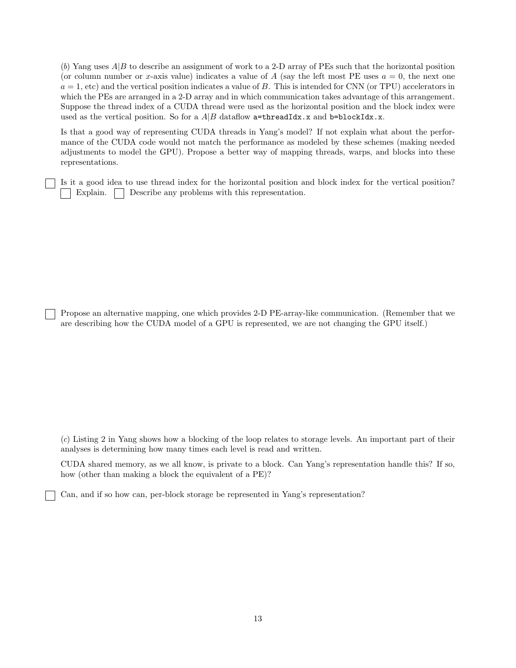(b) Yang uses  $A|B$  to describe an assignment of work to a 2-D array of PEs such that the horizontal position (or column number or x-axis value) indicates a value of A (say the left most PE uses  $a = 0$ , the next one  $a = 1$ , etc) and the vertical position indicates a value of B. This is intended for CNN (or TPU) accelerators in which the PEs are arranged in a 2-D array and in which communication takes advantage of this arrangement. Suppose the thread index of a CUDA thread were used as the horizontal position and the block index were used as the vertical position. So for a  $A|B$  dataflow  $a$ =threadIdx.x and b=blockIdx.x.

Is that a good way of representing CUDA threads in Yang's model? If not explain what about the performance of the CUDA code would not match the performance as modeled by these schemes (making needed adjustments to model the GPU). Propose a better way of mapping threads, warps, and blocks into these representations.

Is it a good idea to use thread index for the horizontal position and block index for the vertical position? Explain. Describe any problems with this representation.

Propose an alternative mapping, one which provides 2-D PE-array-like communication. (Remember that we are describing how the CUDA model of a GPU is represented, we are not changing the GPU itself.)

(c) Listing 2 in Yang shows how a blocking of the loop relates to storage levels. An important part of their analyses is determining how many times each level is read and written.

CUDA shared memory, as we all know, is private to a block. Can Yang's representation handle this? If so, how (other than making a block the equivalent of a PE)?

Can, and if so how can, per-block storage be represented in Yang's representation?